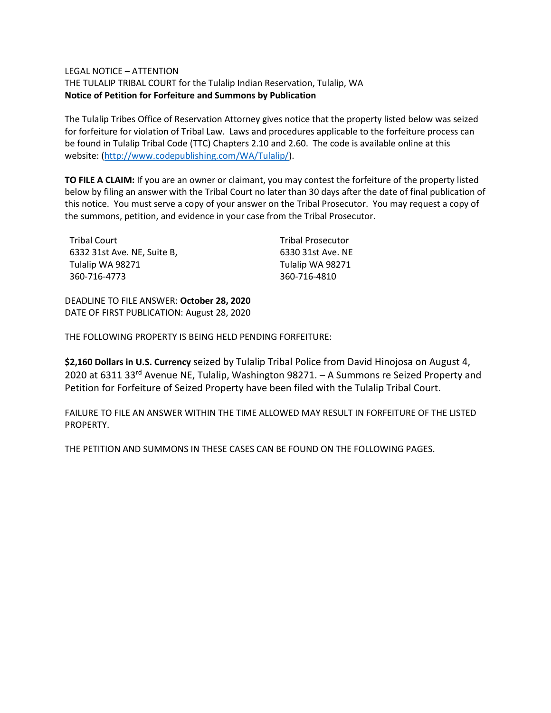## LEGAL NOTICE – ATTENTION

THE TULALIP TRIBAL COURT for the Tulalip Indian Reservation, Tulalip, WA **Notice of Petition for Forfeiture and Summons by Publication**

The Tulalip Tribes Office of Reservation Attorney gives notice that the property listed below was seized for forfeiture for violation of Tribal Law. Laws and procedures applicable to the forfeiture process can be found in Tulalip Tribal Code (TTC) Chapters 2.10 and 2.60. The code is available online at this website: [\(http://www.codepublishing.com/WA/Tulalip/\)](http://www.codepublishing.com/WA/Tulalip/).

**TO FILE A CLAIM:** If you are an owner or claimant, you may contest the forfeiture of the property listed below by filing an answer with the Tribal Court no later than 30 days after the date of final publication of this notice. You must serve a copy of your answer on the Tribal Prosecutor. You may request a copy of the summons, petition, and evidence in your case from the Tribal Prosecutor.

| Tribal Court                | <b>Tribal Prosecutor</b> |
|-----------------------------|--------------------------|
| 6332 31st Ave. NE. Suite B. | 6330 31st Ave. NE        |
| Tulalip WA 98271            | Tulalip WA 98271         |
| 360-716-4773                | 360-716-4810             |

DEADLINE TO FILE ANSWER: **October 28, 2020** DATE OF FIRST PUBLICATION: August 28, 2020

THE FOLLOWING PROPERTY IS BEING HELD PENDING FORFEITURE:

**\$2,160 Dollars in U.S. Currency** seized by Tulalip Tribal Police from David Hinojosa on August 4, 2020 at 6311 33rd Avenue NE, Tulalip, Washington 98271. – A Summons re Seized Property and Petition for Forfeiture of Seized Property have been filed with the Tulalip Tribal Court.

FAILURE TO FILE AN ANSWER WITHIN THE TIME ALLOWED MAY RESULT IN FORFEITURE OF THE LISTED PROPERTY.

THE PETITION AND SUMMONS IN THESE CASES CAN BE FOUND ON THE FOLLOWING PAGES.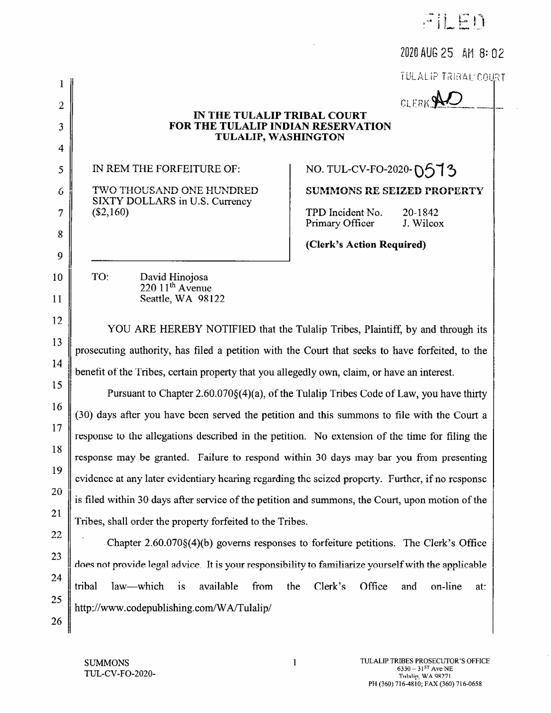|                                                                                                      | FILED                                                                                                                                                    |
|------------------------------------------------------------------------------------------------------|----------------------------------------------------------------------------------------------------------------------------------------------------------|
|                                                                                                      | 2020 AUG 25 AM 8:02                                                                                                                                      |
|                                                                                                      | TULALIP TRIBAL COURT                                                                                                                                     |
| IN THE TULALIP TRIBAL COURT<br>FOR THE TULALIP INDIAN RESERVATION<br>TULALIP, WASHINGTON             | CLERK <sup>9</sup>                                                                                                                                       |
| IN REM THE FORFEITURE OF:<br>TWO THOUSAND ONE HUNDRED<br>SIXTY DOLLARS in U.S. Currency<br>(\$2,160) | NO. TUL-CV-FO-2020-0513<br><b>SUMMONS RE SEIZED PROPERTY</b><br>TPD Incident No.<br>20-1842<br>Primary Officer<br>J. Wilcox<br>(Clerk's Action Required) |
| TO:<br>David Hinojosa<br>$220~11th$ Avenue<br>Seattle, WA 98122                                      |                                                                                                                                                          |
| prosecuting authority, has filed a petition with the Court that seeks to have forfeited, to the      | YOU ARE HEREBY NOTIFIED that the Tulalip Tribes, Plaintiff, by and through its                                                                           |
| benefit of the Tribes, certain property that you allegedly own, claim, or have an interest.          |                                                                                                                                                          |
|                                                                                                      | Pursuant to Chapter 2.60.070§(4)(a), of the Tulalip Tribes Code of Law, you have thirty                                                                  |

Pursu (30) days after you have been served the petition and this summons to file with the Court a response to the allegations described in the petition. No extension of the time for filing the response may be granted. Failure to respond within 30 days may bar you from presenting evidence at any later evidentiary hearing regarding the seized property. Further, if no response is filed within 30 days after service of the petition and summons, the Court, upon motion of the Tribes, shall order the property forfeited to the Tribes.

Chapter 2.60.070§(4)(b) governs responses to forfeiture petitions. The Clerk's Office does not provide legal advice. It is your responsibility to familiarize yourself with the applicable Office on-line tribal law-which *is* available Clerk's from the and at: http://www.codepublishing.com/WA/Tulalip/

 $\mathbf{l}$ 

 $\overline{2}$ 

3

4

5

6

7

8

9

10

11

12

13

14

15

16

 $17$ 

18

19

20

21

22

23

24

25

26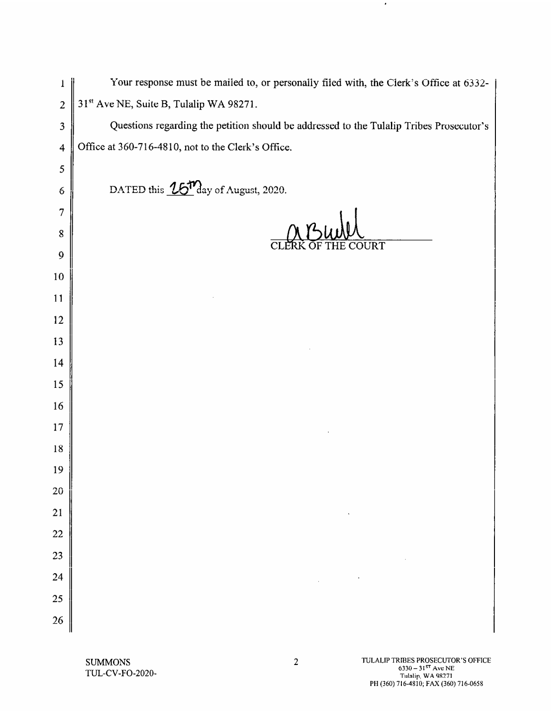| 1                       | Your response must be mailed to, or personally filed with, the Clerk's Office at 6332-  |
|-------------------------|-----------------------------------------------------------------------------------------|
| $\overline{c}$          | 31st Ave NE, Suite B, Tulalip WA 98271.                                                 |
| $\mathfrak{Z}$          | Questions regarding the petition should be addressed to the Tulalip Tribes Prosecutor's |
| $\overline{\mathbf{4}}$ | Office at 360-716-4810, not to the Clerk's Office.                                      |
| 5                       |                                                                                         |
| 6                       | DATED this 16 <sup>17</sup> day of August, 2020.                                        |
| 7                       |                                                                                         |
| 8                       |                                                                                         |
| 9                       | OURT<br>$\mathbf C$                                                                     |
| 10                      |                                                                                         |
| 11                      |                                                                                         |
| 12                      |                                                                                         |
| 13                      |                                                                                         |
| 14                      |                                                                                         |
| 15                      |                                                                                         |
| 16                      |                                                                                         |
| 17                      |                                                                                         |
| 18                      |                                                                                         |
| 19                      |                                                                                         |
| 20                      |                                                                                         |
| 21                      |                                                                                         |
| 22                      |                                                                                         |
| 23                      |                                                                                         |
| 24                      |                                                                                         |
| 25                      |                                                                                         |
| 26                      |                                                                                         |

 $\bullet$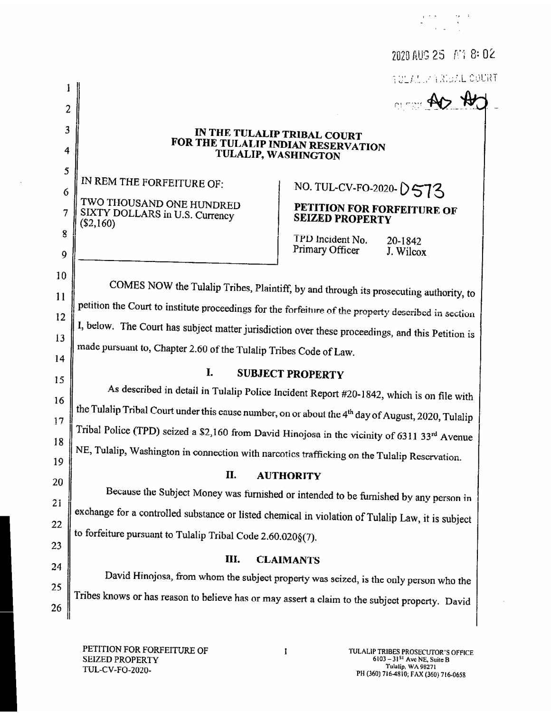|                |                                                                                                                | 2020 AUG 25 AM 8: 02                                                                 |  |  |
|----------------|----------------------------------------------------------------------------------------------------------------|--------------------------------------------------------------------------------------|--|--|
|                |                                                                                                                | <b>AULANIA AREAL COURT</b>                                                           |  |  |
| $\overline{c}$ |                                                                                                                | <b>OBSTRAIN</b>                                                                      |  |  |
| 3              |                                                                                                                |                                                                                      |  |  |
| 4              | IN THE TULALIP TRIBAL COURT<br>FOR THE TULALIP INDIAN RESERVATION<br>TULALIP, WASHINGTON                       |                                                                                      |  |  |
| 5              |                                                                                                                |                                                                                      |  |  |
| 6              | IN REM THE FORFEITURE OF:                                                                                      | NO. TUL-CV-FO-2020-0573                                                              |  |  |
| 7              | TWO THOUSAND ONE HUNDRED<br>SIXTY DOLLARS in U.S. Currency<br>$(\$2,160)$                                      | PETITION FOR FORFEITURE OF<br><b>SEIZED PROPERTY</b>                                 |  |  |
| 8<br>9         |                                                                                                                | TPD Incident No.<br>20-1842<br>Primary Officer<br>J. Wilcox                          |  |  |
| 10             |                                                                                                                |                                                                                      |  |  |
| 11             | COMES NOW the Tulalip Tribes, Plaintiff, by and through its prosecuting authority, to                          |                                                                                      |  |  |
| 12             | petition the Court to institute proceedings for the forfeiture of the property described in section            |                                                                                      |  |  |
| 13             | I, below. The Court has subject matter jurisdiction over these proceedings, and this Petition is               |                                                                                      |  |  |
| 14             | made pursuant to, Chapter 2.60 of the Tulalip Tribes Code of Law.                                              |                                                                                      |  |  |
| 15             | I.<br><b>SUBJECT PROPERTY</b>                                                                                  |                                                                                      |  |  |
| 16             | As described in detail in Tulalip Police Incident Report #20-1842, which is on file with                       |                                                                                      |  |  |
| 17             | the Tulalip Tribal Court under this cause number, on or about the 4 <sup>th</sup> day of August, 2020, Tulalip |                                                                                      |  |  |
| 18             | Tribal Police (TPD) seized a \$2,160 from David Hinojosa in the vicinity of 6311 33rd Avenue                   |                                                                                      |  |  |
| 19             | NE, Tulalip, Washington in connection with narcotics trafficking on the Tulalip Reservation.                   |                                                                                      |  |  |
| 20             | II.                                                                                                            | <b>AUTHORITY</b>                                                                     |  |  |
| 21             |                                                                                                                | Because the Subject Money was furnished or intended to be furnished by any person in |  |  |
| 22             | exchange for a controlled substance or listed chemical in violation of Tulalip Law, it is subject              |                                                                                      |  |  |
| 23             | to forfeiture pursuant to Tulalip Tribal Code 2.60.020§(7).                                                    |                                                                                      |  |  |
| 24             | III.                                                                                                           | <b>CLAIMANTS</b>                                                                     |  |  |
| 25             | David Hinojosa, from whom the subject property was seized, is the only person who the                          |                                                                                      |  |  |
| 26             | Tribes knows or has reason to believe has or may assert a claim to the subject property. David                 |                                                                                      |  |  |
|                |                                                                                                                |                                                                                      |  |  |

 $\Delta$ 

 $\sim$ 

 $\begin{split} \frac{1}{\sqrt{2}}\left(\frac{2\pi}{\sqrt{2}}\right) &\text{for} \quad \frac{1}{\sqrt{2}}\left(\frac{2\pi}{\sqrt{2}}\right)\\ &\text{for} \quad \frac{1}{\sqrt{2}}\left(\frac{2\pi}{\sqrt{2}}\right) &\text{for} \quad \frac{1}{\sqrt{2}}\left(\frac{2\pi}{\sqrt{2}}\right)\\ &\text{for} \quad \frac{1}{\sqrt{2}}\left(\frac{2\pi}{\sqrt{2}}\right) &\text{for} \quad \frac{1}{\sqrt{2}}\left(\frac{2\pi}{\sqrt{2}}\right)\\ &\text{for} \quad \frac$